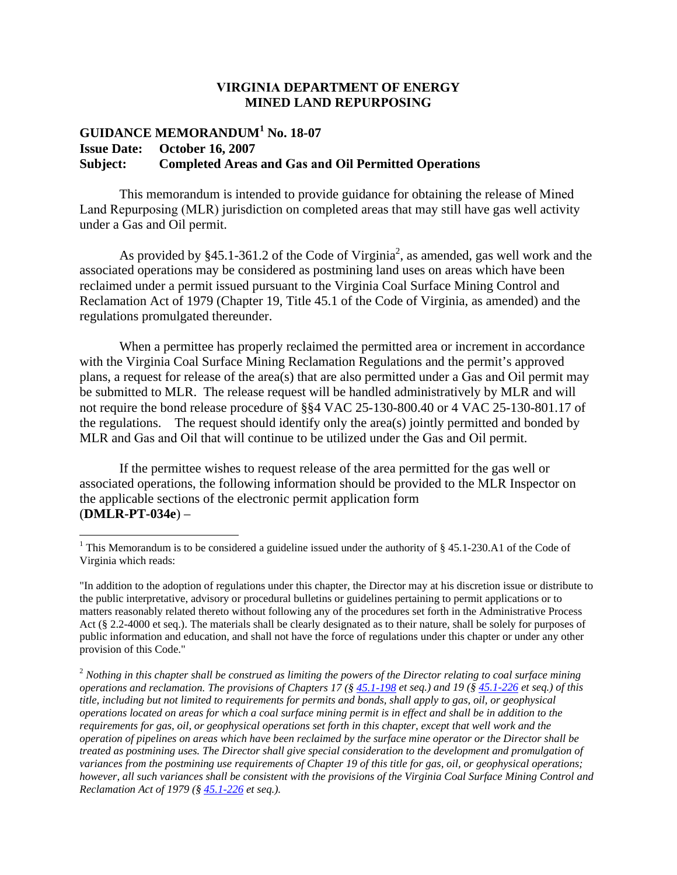## **VIRGINIA DEPARTMENT OF ENERGY MINED LAND REPURPOSING**

## **GUIDANCE MEMORANDUM<sup>1</sup> No. 18-07 Issue Date: October 16, 2007 Subject: Completed Areas and Gas and Oil Permitted Operations**

This memorandum is intended to provide guidance for obtaining the release of Mined Land Repurposing (MLR) jurisdiction on completed areas that may still have gas well activity under a Gas and Oil permit.

As provided by  $§45.1-361.2$  of the Code of Virginia<sup>2</sup>, as amended, gas well work and the associated operations may be considered as postmining land uses on areas which have been reclaimed under a permit issued pursuant to the Virginia Coal Surface Mining Control and Reclamation Act of 1979 (Chapter 19, Title 45.1 of the Code of Virginia, as amended) and the regulations promulgated thereunder.

When a permittee has properly reclaimed the permitted area or increment in accordance with the Virginia Coal Surface Mining Reclamation Regulations and the permit's approved plans, a request for release of the area(s) that are also permitted under a Gas and Oil permit may be submitted to MLR. The release request will be handled administratively by MLR and will not require the bond release procedure of §§4 VAC 25-130-800.40 or 4 VAC 25-130-801.17 of the regulations. The request should identify only the area(s) jointly permitted and bonded by MLR and Gas and Oil that will continue to be utilized under the Gas and Oil permit.

If the permittee wishes to request release of the area permitted for the gas well or associated operations, the following information should be provided to the MLR Inspector on the applicable sections of the electronic permit application form (**DMLR-PT-034e**) –

<sup>&</sup>lt;sup>1</sup> This Memorandum is to be considered a guideline issued under the authority of  $\S$  45.1-230.A1 of the Code of Virginia which reads:

<sup>&</sup>quot;In addition to the adoption of regulations under this chapter, the Director may at his discretion issue or distribute to the public interpretative, advisory or procedural bulletins or guidelines pertaining to permit applications or to matters reasonably related thereto without following any of the procedures set forth in the Administrative Process Act (§ 2.2-4000 et seq.). The materials shall be clearly designated as to their nature, shall be solely for purposes of public information and education, and shall not have the force of regulations under this chapter or under any other provision of this Code."

<sup>2</sup> *Nothing in this chapter shall be construed as limiting the powers of the Director relating to coal surface mining operations and reclamation. The provisions of Chapters 17 (§ 45.1-198 et seq.) and 19 (§ 45.1-226 et seq.) of this title, including but not limited to requirements for permits and bonds, shall apply to gas, oil, or geophysical operations located on areas for which a coal surface mining permit is in effect and shall be in addition to the requirements for gas, oil, or geophysical operations set forth in this chapter, except that well work and the operation of pipelines on areas which have been reclaimed by the surface mine operator or the Director shall be treated as postmining uses. The Director shall give special consideration to the development and promulgation of variances from the postmining use requirements of Chapter 19 of this title for gas, oil, or geophysical operations; however, all such variances shall be consistent with the provisions of the Virginia Coal Surface Mining Control and Reclamation Act of 1979 (§ 45.1-226 et seq.).*